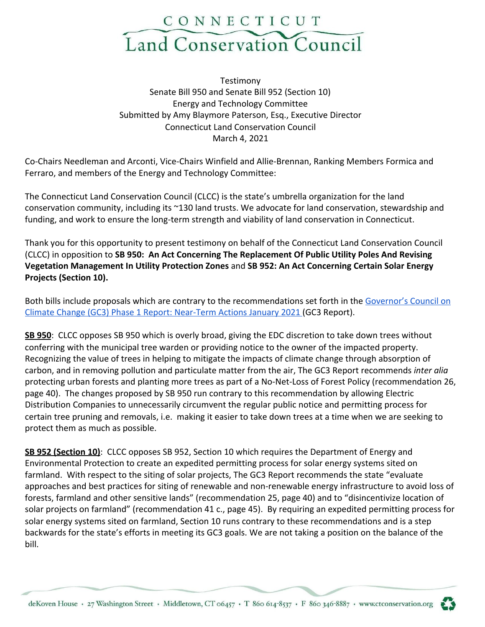

Testimony Senate Bill 950 and Senate Bill 952 (Section 10) Energy and Technology Committee Submitted by Amy Blaymore Paterson, Esq., Executive Director Connecticut Land Conservation Council March 4, 2021

Co-Chairs Needleman and Arconti, Vice-Chairs Winfield and Allie-Brennan, Ranking Members Formica and Ferraro, and members of the Energy and Technology Committee:

The Connecticut Land Conservation Council (CLCC) is the state's umbrella organization for the land conservation community, including its ~130 land trusts. We advocate for land conservation, stewardship and funding, and work to ensure the long-term strength and viability of land conservation in Connecticut.

Thank you for this opportunity to present testimony on behalf of the Connecticut Land Conservation Council (CLCC) in opposition to **SB 950: An Act Concerning The Replacement Of Public Utility Poles And Revising Vegetation Management In Utility Protection Zones** and **SB 952: An Act Concerning Certain Solar Energy Projects (Section 10).**

Both bills include proposals which are contrary to the recommendations set forth in the [Governor's Council on](https://portal.ct.gov/-/media/DEEP/climatechange/GC3/GC3_Phase1_Report_Jan2021.pdf) [Climate Change \(GC3\) Phase 1 Report: Near-Term Actions January 2021 \(](https://portal.ct.gov/-/media/DEEP/climatechange/GC3/GC3_Phase1_Report_Jan2021.pdf)GC3 Report).

**SB 950**: CLCC opposes SB 950 which is overly broad, giving the EDC discretion to take down trees without conferring with the municipal tree warden or providing notice to the owner of the impacted property. Recognizing the value of trees in helping to mitigate the impacts of climate change through absorption of carbon, and in removing pollution and particulate matter from the air, The GC3 Report recommends *inter alia* protecting urban forests and planting more trees as part of a No-Net-Loss of Forest Policy (recommendation 26, page 40). The changes proposed by SB 950 run contrary to this recommendation by allowing Electric Distribution Companies to unnecessarily circumvent the regular public notice and permitting process for certain tree pruning and removals, i.e. making it easier to take down trees at a time when we are seeking to protect them as much as possible.

**SB 952 (Section 10)**: CLCC opposes SB 952, Section 10 which requires the Department of Energy and Environmental Protection to create an expedited permitting process for solar energy systems sited on farmland. With respect to the siting of solar projects, The GC3 Report recommends the state "evaluate approaches and best practices for siting of renewable and non-renewable energy infrastructure to avoid loss of forests, farmland and other sensitive lands" (recommendation 25, page 40) and to "disincentivize location of solar projects on farmland" (recommendation 41 c., page 45). By requiring an expedited permitting process for solar energy systems sited on farmland, Section 10 runs contrary to these recommendations and is a step backwards for the state's efforts in meeting its GC3 goals. We are not taking a position on the balance of the bill.